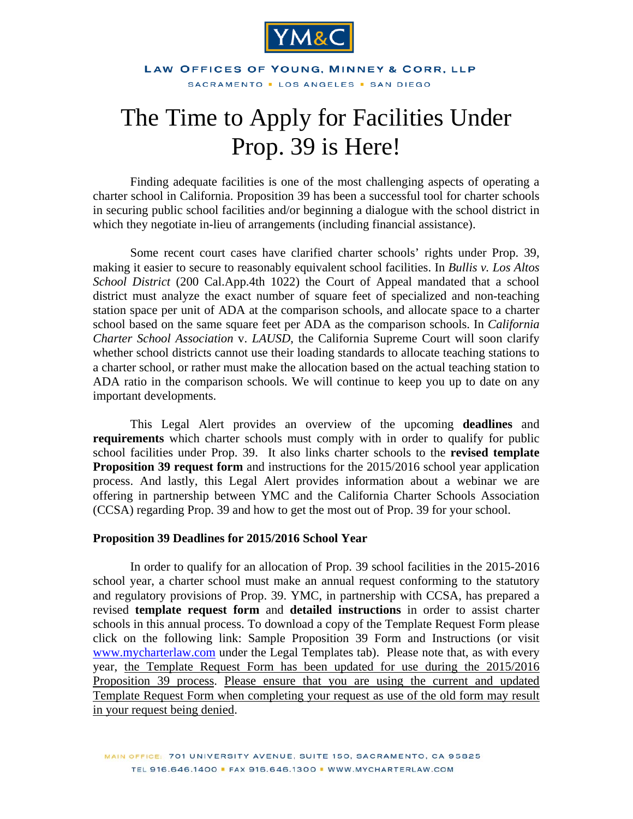

#### LAW OFFICES OF YOUNG, MINNEY & CORR, LLP SACRAMENTO . LOS ANGELES . SAN DIEGO

# The Time to Apply for Facilities Under Prop. 39 is Here!

Finding adequate facilities is one of the most challenging aspects of operating a charter school in California. Proposition 39 has been a successful tool for charter schools in securing public school facilities and/or beginning a dialogue with the school district in which they negotiate in-lieu of arrangements (including financial assistance).

Some recent court cases have clarified charter schools' rights under Prop. 39, making it easier to secure to reasonably equivalent school facilities. In *Bullis v. Los Altos School District* (200 Cal.App.4th 1022) the Court of Appeal mandated that a school district must analyze the exact number of square feet of specialized and non-teaching station space per unit of ADA at the comparison schools, and allocate space to a charter school based on the same square feet per ADA as the comparison schools. In *California Charter School Association* v. *LAUSD*, the California Supreme Court will soon clarify whether school districts cannot use their loading standards to allocate teaching stations to a charter school, or rather must make the allocation based on the actual teaching station to ADA ratio in the comparison schools. We will continue to keep you up to date on any important developments.

This Legal Alert provides an overview of the upcoming **deadlines** and **requirements** which charter schools must comply with in order to qualify for public school facilities under Prop. 39. It also links charter schools to the **[revised template](http://www.mymcharterlaw.com/pdf/Prop39_Template_Request_15-16.doc)  [Proposition 39 request](http://www.mycharterlaw.com/pdf/Prop39_Template_Request_15-16.doc) form** and instructions for the 2015/2016 school year application process. And lastly, this Legal Alert provides information about a webinar we are offering in partnership between YMC and the California Charter Schools Association (CCSA) regarding Prop. 39 and how to get the most out of Prop. 39 for your school.

#### **Proposition 39 Deadlines for 2015/2016 School Year**

In order to qualify for an allocation of Prop. 39 school facilities in the 2015-2016 school year, a charter school must make an annual request conforming to the statutory and regulatory provisions of Prop. 39. YMC, in partnership with CCSA, has prepared a revised **template request form** and **detailed instructions** in order to assist charter schools in this annual process. To download a copy of the Template Request Form please click on the following link: [Sample Proposition 39 Form and Instructions](http://www.mycharterlaw.com/pdf/Prop39_Template_Request_15-16.doc) (or visit [www.mycharterlaw.com](http://www.mycharterlaw.com) under the Legal Templates tab). Please note that, as with every year, the Template Request Form has been updated for use during the 2015/2016 Proposition 39 process. Please ensure that you are using the current and updated Template Request Form when completing your request as use of the old form may result in your request being denied.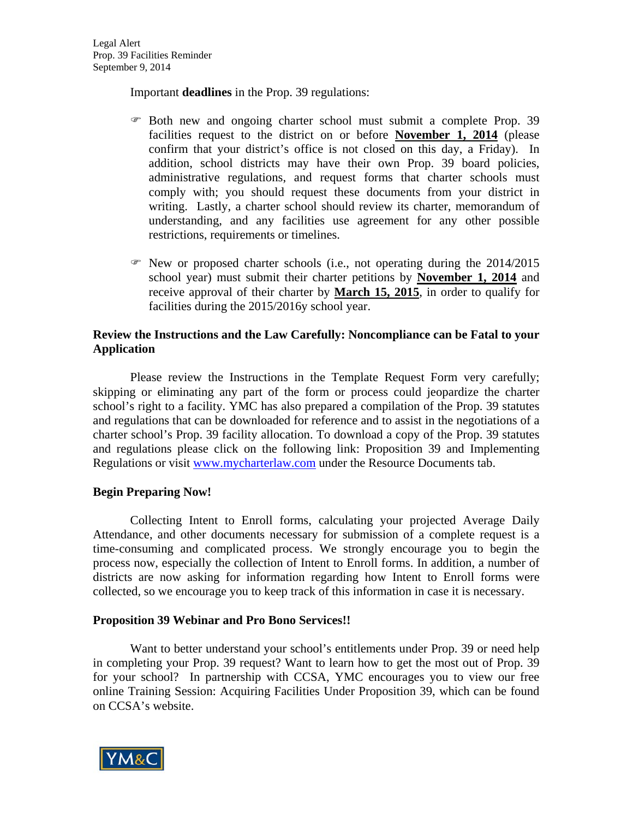Important **deadlines** in the Prop. 39 regulations:

- Both new and ongoing charter school must submit a complete Prop. 39 facilities request to the district on or before **November 1, 2014** (please confirm that your district's office is not closed on this day, a Friday). In addition, school districts may have their own Prop. 39 board policies, administrative regulations, and request forms that charter schools must comply with; you should request these documents from your district in writing. Lastly, a charter school should review its charter, memorandum of understanding, and any facilities use agreement for any other possible restrictions, requirements or timelines.
- $\mathcal{F}$  New or proposed charter schools (i.e., not operating during the 2014/2015 school year) must submit their charter petitions by **November 1, 2014** and receive approval of their charter by **March 15, 2015**, in order to qualify for facilities during the 2015/2016y school year.

## **Review the Instructions and the Law Carefully: Noncompliance can be Fatal to your Application**

Please review the Instructions in the Template Request Form very carefully; skipping or eliminating any part of the form or process could jeopardize the charter school's right to a facility. YMC has also prepared a compilation of the Prop. 39 statutes and regulations that can be downloaded for reference and to assist in the negotiations of a charter school's Prop. 39 facility allocation. To download a copy of the Prop. 39 statutes and regulations please click on the following link: [Proposition 39 and Implementing](http://www.mymcharterlaw.com/legTempl.asp)  [Regulations](http://www.mymcharterlaw.com/legTempl.asp) or visit [www.mycharterlaw.com](http://www.mycharterlaw.com) under the Resource Documents tab.

## **Begin Preparing Now!**

 Collecting Intent to Enroll forms, calculating your projected Average Daily Attendance, and other documents necessary for submission of a complete request is a time-consuming and complicated process. We strongly encourage you to begin the process now, especially the collection of Intent to Enroll forms. In addition, a number of districts are now asking for information regarding how Intent to Enroll forms were collected, so we encourage you to keep track of this information in case it is necessary.

## **Proposition 39 Webinar and Pro Bono Services!!**

Want to better understand your school's entitlements under Prop. 39 or need help in completing your Prop. 39 request? Want to learn how to get the most out of Prop. 39 for your school? In partnership with CCSA, YMC encourages you to view our free online Training Session: [Acquiring Facilities Under Proposition 39,](http://www.calcharters.org/2011/09/training-session-acquiring-facilities-under-prop-39.html) which can be found on CCSA's website.